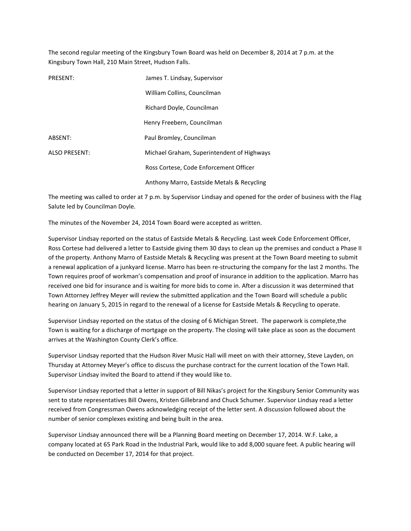The second regular meeting of the Kingsbury Town Board was held on December 8, 2014 at 7 p.m. at the Kingsbury Town Hall, 210 Main Street, Hudson Falls.

| PRESENT:             | James T. Lindsay, Supervisor               |
|----------------------|--------------------------------------------|
|                      | William Collins, Councilman                |
|                      | Richard Doyle, Councilman                  |
|                      | Henry Freebern, Councilman                 |
| ABSENT:              | Paul Bromley, Councilman                   |
| <b>ALSO PRESENT:</b> | Michael Graham, Superintendent of Highways |
|                      | Ross Cortese, Code Enforcement Officer     |
|                      | Anthony Marro, Eastside Metals & Recycling |

The meeting was called to order at 7 p.m. by Supervisor Lindsay and opened for the order of business with the Flag Salute led by Councilman Doyle.

The minutes of the November 24, 2014 Town Board were accepted as written.

Supervisor Lindsay reported on the status of Eastside Metals & Recycling. Last week Code Enforcement Officer, Ross Cortese had delivered a letter to Eastside giving them 30 days to clean up the premises and conduct a Phase II of the property. Anthony Marro of Eastside Metals & Recycling was present at the Town Board meeting to submit a renewal application of a junkyard license. Marro has been re-structuring the company for the last 2 months. The Town requires proof of workman's compensation and proof of insurance in addition to the application. Marro has received one bid for insurance and is waiting for more bids to come in. After a discussion it was determined that Town Attorney Jeffrey Meyer will review the submitted application and the Town Board will schedule a public hearing on January 5, 2015 in regard to the renewal of a license for Eastside Metals & Recycling to operate.

Supervisor Lindsay reported on the status of the closing of 6 Michigan Street. The paperwork is complete,the Town is waiting for a discharge of mortgage on the property. The closing will take place as soon as the document arrives at the Washington County Clerk's office.

Supervisor Lindsay reported that the Hudson River Music Hall will meet on with their attorney, Steve Layden, on Thursday at Attorney Meyer's office to discuss the purchase contract for the current location of the Town Hall. Supervisor Lindsay invited the Board to attend if they would like to.

Supervisor Lindsay reported that a letter in support of Bill Nikas's project for the Kingsbury Senior Community was sent to state representatives Bill Owens, Kristen Gillebrand and Chuck Schumer. Supervisor Lindsay read a letter received from Congressman Owens acknowledging receipt of the letter sent. A discussion followed about the number of senior complexes existing and being built in the area.

Supervisor Lindsay announced there will be a Planning Board meeting on December 17, 2014. W.F. Lake, a company located at 65 Park Road in the Industrial Park, would like to add 8,000 square feet. A public hearing will be conducted on December 17, 2014 for that project.